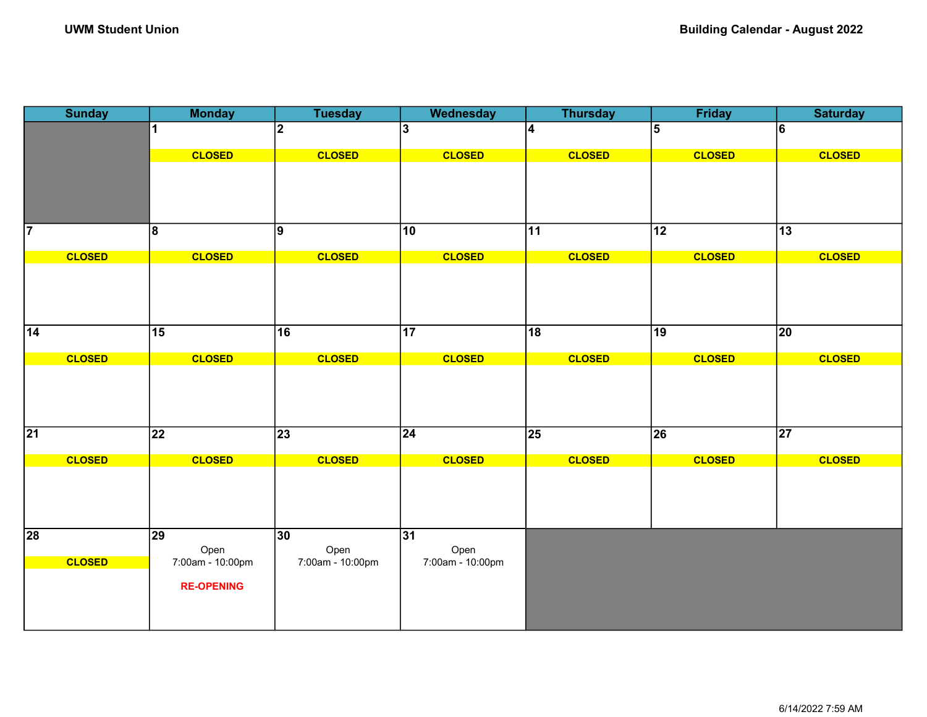| <b>Sunday</b>   | <b>Monday</b>     | <b>Tuesday</b>   | <b>Wednesday</b> | <b>Thursday</b> | <b>Friday</b>   | <b>Saturday</b> |
|-----------------|-------------------|------------------|------------------|-----------------|-----------------|-----------------|
|                 | 1                 | $\mathbf{2}$     | 3                | 4               | 5               | 6               |
|                 |                   |                  |                  |                 |                 |                 |
|                 | <b>CLOSED</b>     | <b>CLOSED</b>    | <b>CLOSED</b>    | <b>CLOSED</b>   | <b>CLOSED</b>   | <b>CLOSED</b>   |
|                 |                   |                  |                  |                 |                 |                 |
|                 |                   |                  |                  |                 |                 |                 |
|                 |                   |                  |                  |                 |                 |                 |
| $\overline{7}$  | $\overline{8}$    | 8                | 10               | 11              | $\overline{12}$ | $ 13\rangle$    |
|                 |                   |                  |                  |                 |                 |                 |
| <b>CLOSED</b>   | <b>CLOSED</b>     | <b>CLOSED</b>    | <b>CLOSED</b>    | <b>CLOSED</b>   | <b>CLOSED</b>   | <b>CLOSED</b>   |
|                 |                   |                  |                  |                 |                 |                 |
|                 |                   |                  |                  |                 |                 |                 |
|                 |                   |                  |                  |                 |                 |                 |
|                 |                   |                  |                  |                 |                 |                 |
| $\overline{14}$ | $\overline{15}$   | 16               | $\overline{17}$  | 18              | $\sqrt{19}$     | $\overline{20}$ |
| <b>CLOSED</b>   | <b>CLOSED</b>     | <b>CLOSED</b>    | <b>CLOSED</b>    | <b>CLOSED</b>   | <b>CLOSED</b>   | <b>CLOSED</b>   |
|                 |                   |                  |                  |                 |                 |                 |
|                 |                   |                  |                  |                 |                 |                 |
|                 |                   |                  |                  |                 |                 |                 |
|                 |                   |                  |                  |                 |                 |                 |
| $\overline{21}$ | 22                | $\overline{23}$  | $\overline{24}$  | 25              | 26              | $\sqrt{27}$     |
|                 |                   |                  |                  |                 |                 |                 |
| <b>CLOSED</b>   | <b>CLOSED</b>     | <b>CLOSED</b>    | <b>CLOSED</b>    | <b>CLOSED</b>   | <b>CLOSED</b>   | <b>CLOSED</b>   |
|                 |                   |                  |                  |                 |                 |                 |
|                 |                   |                  |                  |                 |                 |                 |
|                 |                   |                  |                  |                 |                 |                 |
| 28              | $\overline{29}$   | $ 30\rangle$     | 31               |                 |                 |                 |
|                 | Open              | Open             | Open             |                 |                 |                 |
| <b>CLOSED</b>   | 7:00am - 10:00pm  | 7:00am - 10:00pm | 7:00am - 10:00pm |                 |                 |                 |
|                 |                   |                  |                  |                 |                 |                 |
|                 | <b>RE-OPENING</b> |                  |                  |                 |                 |                 |
|                 |                   |                  |                  |                 |                 |                 |
|                 |                   |                  |                  |                 |                 |                 |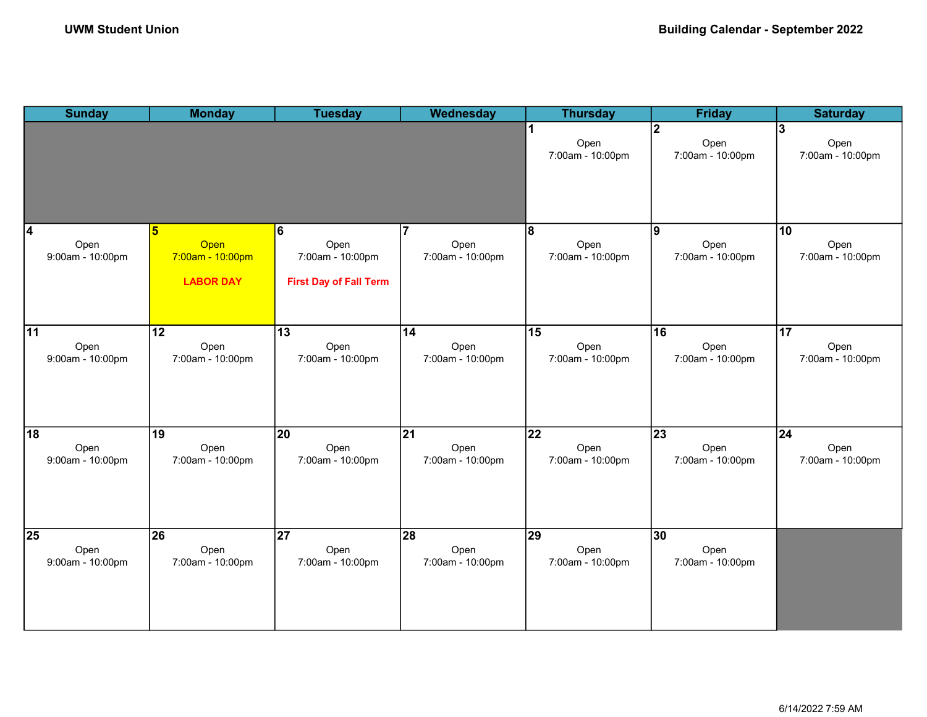| <b>Sunday</b>                                       | <b>Monday</b>                                     | <b>Tuesday</b>                                                 | Wednesday                      | <b>Thursday</b>               | <b>Friday</b>                  | <b>Saturday</b>                |
|-----------------------------------------------------|---------------------------------------------------|----------------------------------------------------------------|--------------------------------|-------------------------------|--------------------------------|--------------------------------|
|                                                     |                                                   |                                                                |                                | 1<br>Open<br>7:00am - 10:00pm | 2 <br>Open<br>7:00am - 10:00pm | 3<br>Open<br>7:00am - 10:00pm  |
| $\overline{\mathbf{4}}$<br>Open<br>9:00am - 10:00pm | 5<br>Open<br>7:00am - 10:00pm<br><b>LABOR DAY</b> | 6<br>Open<br>7:00am - 10:00pm<br><b>First Day of Fall Term</b> | 17<br>Open<br>7:00am - 10:00pm | 8<br>Open<br>7:00am - 10:00pm | 9<br>Open<br>7:00am - 10:00pm  | 10<br>Open<br>7:00am - 10:00pm |
| $\overline{11}$                                     | $\overline{12}$                                   | 13                                                             | 14                             | 15                            | 16                             | $\overline{17}$                |
| Open                                                | Open                                              | Open                                                           | Open                           | Open                          | Open                           | Open                           |
| 9:00am - 10:00pm                                    | 7:00am - 10:00pm                                  | 7:00am - 10:00pm                                               | 7:00am - 10:00pm               | 7:00am - 10:00pm              | 7:00am - 10:00pm               | 7:00am - 10:00pm               |
| $\overline{18}$                                     | 19                                                | 20                                                             | $\overline{21}$                | 22                            | 23                             | 24                             |
| Open                                                | Open                                              | Open                                                           | Open                           | Open                          | Open                           | Open                           |
| 9:00am - 10:00pm                                    | 7:00am - 10:00pm                                  | 7:00am - 10:00pm                                               | 7:00am - 10:00pm               | 7:00am - 10:00pm              | 7:00am - 10:00pm               | 7:00am - 10:00pm               |
| $\overline{25}$                                     | $\overline{26}$                                   | $\overline{27}$                                                | 28                             | $\overline{29}$               | $\overline{30}$                |                                |
| Open                                                | Open                                              | Open                                                           | Open                           | Open                          | Open                           |                                |
| 9:00am - 10:00pm                                    | 7:00am - 10:00pm                                  | 7:00am - 10:00pm                                               | 7:00am - 10:00pm               | 7:00am - 10:00pm              | 7:00am - 10:00pm               |                                |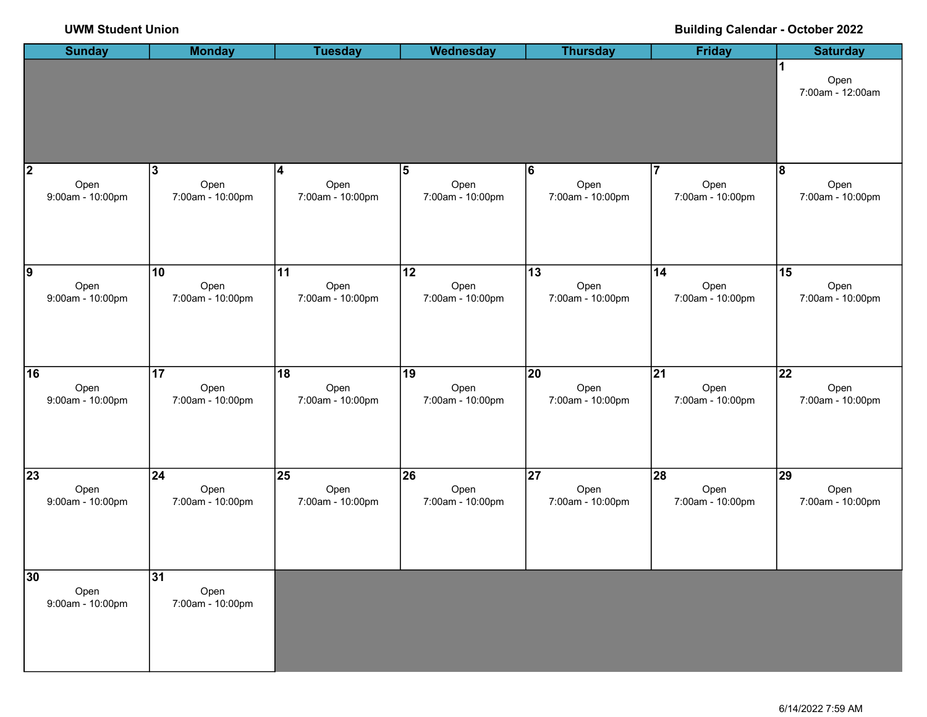## UWM Student Union Building Calendar - October 2022

| <b>Sunday</b>                  | <b>Monday</b>                   | <b>Tuesday</b>   | <b>Wednesday</b> | <b>Thursday</b>  | <b>Friday</b>    | <b>Saturday</b>               |
|--------------------------------|---------------------------------|------------------|------------------|------------------|------------------|-------------------------------|
|                                |                                 |                  |                  |                  |                  | 1<br>Open<br>7:00am - 12:00am |
| 2                              | 3                               | 4                | 5                | 6                | 7                | 8                             |
| Open                           | Open                            | Open             | Open             | Open             | Open             | Open                          |
| 9:00am - 10:00pm               | 7:00am - 10:00pm                | 7:00am - 10:00pm | 7:00am - 10:00pm | 7:00am - 10:00pm | 7:00am - 10:00pm | 7:00am - 10:00pm              |
| 9                              | $\overline{10}$                 | $\overline{11}$  | $\overline{12}$  | 13               | 14               | $\overline{15}$               |
| Open                           | Open                            | Open             | Open             | Open             | Open             | Open                          |
| 9:00am - 10:00pm               | 7:00am - 10:00pm                | 7:00am - 10:00pm | 7:00am - 10:00pm | 7:00am - 10:00pm | 7:00am - 10:00pm | 7:00am - 10:00pm              |
| 16                             | 17                              | 18               | 19               | 20               | 21               | 22                            |
| Open                           | Open                            | Open             | Open             | Open             | Open             | Open                          |
| 9:00am - 10:00pm               | 7:00am - 10:00pm                | 7:00am - 10:00pm | 7:00am - 10:00pm | 7:00am - 10:00pm | 7:00am - 10:00pm | 7:00am - 10:00pm              |
| 23                             | 24                              | 25               | $\overline{26}$  | $\overline{27}$  | $\overline{28}$  | $\overline{29}$               |
| Open                           | Open                            | Open             | Open             | Open             | Open             | Open                          |
| 9:00am - 10:00pm               | 7:00am - 10:00pm                | 7:00am - 10:00pm | 7:00am - 10:00pm | 7:00am - 10:00pm | 7:00am - 10:00pm | 7:00am - 10:00pm              |
| 30<br>Open<br>9:00am - 10:00pm | 31 <br>Open<br>7:00am - 10:00pm |                  |                  |                  |                  |                               |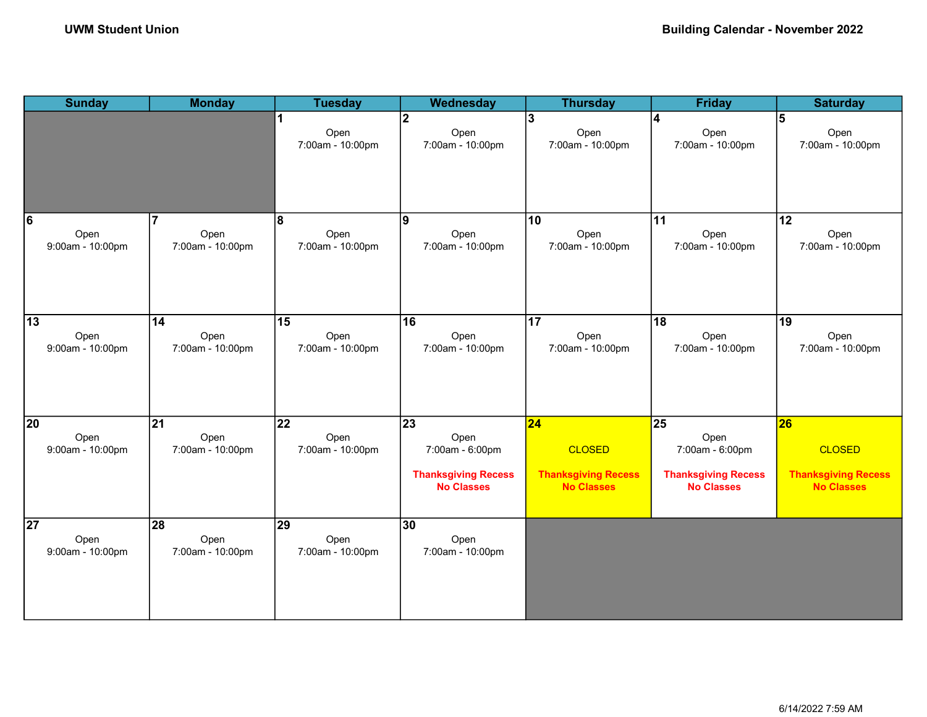| <b>Sunday</b>                               | <b>Monday</b>                               | <b>Tuesday</b>                              | <b>Wednesday</b>                                                                 | <b>Thursday</b>                                                                     | <b>Friday</b>                                                                    | <b>Saturday</b>                                                                     |
|---------------------------------------------|---------------------------------------------|---------------------------------------------|----------------------------------------------------------------------------------|-------------------------------------------------------------------------------------|----------------------------------------------------------------------------------|-------------------------------------------------------------------------------------|
|                                             |                                             | Open<br>7:00am - 10:00pm                    | 2<br>Open<br>7:00am - 10:00pm                                                    | Ι3<br>Open<br>7:00am - 10:00pm                                                      | 4<br>Open<br>7:00am - 10:00pm                                                    | 5<br>Open<br>7:00am - 10:00pm                                                       |
| 6<br>Open<br>9:00am - 10:00pm               | Open<br>7:00am - 10:00pm                    | 8<br>Open<br>7:00am - 10:00pm               | 9<br>Open<br>7:00am - 10:00pm                                                    | 10<br>Open<br>7:00am - 10:00pm                                                      | 11<br>Open<br>7:00am - 10:00pm                                                   | $\overline{12}$<br>Open<br>7:00am - 10:00pm                                         |
| 13<br>Open<br>9:00am - 10:00pm              | $\overline{14}$<br>Open<br>7:00am - 10:00pm | 15<br>Open<br>7:00am - 10:00pm              | $\overline{16}$<br>Open<br>7:00am - 10:00pm                                      | $\overline{17}$<br>Open<br>7:00am - 10:00pm                                         | $\overline{18}$<br>Open<br>7:00am - 10:00pm                                      | 19<br>Open<br>7:00am - 10:00pm                                                      |
| 20<br>Open<br>9:00am - 10:00pm              | $ 21\rangle$<br>Open<br>7:00am - 10:00pm    | 22<br>Open<br>7:00am - 10:00pm              | 23<br>Open<br>7:00am - 6:00pm<br><b>Thanksgiving Recess</b><br><b>No Classes</b> | $\overline{24}$<br><b>CLOSED</b><br><b>Thanksgiving Recess</b><br><b>No Classes</b> | 25<br>Open<br>7:00am - 6:00pm<br><b>Thanksgiving Recess</b><br><b>No Classes</b> | $\overline{26}$<br><b>CLOSED</b><br><b>Thanksgiving Recess</b><br><b>No Classes</b> |
| $\overline{27}$<br>Open<br>9:00am - 10:00pm | $\overline{28}$<br>Open<br>7:00am - 10:00pm | $\overline{29}$<br>Open<br>7:00am - 10:00pm | 30<br>Open<br>7:00am - 10:00pm                                                   |                                                                                     |                                                                                  |                                                                                     |